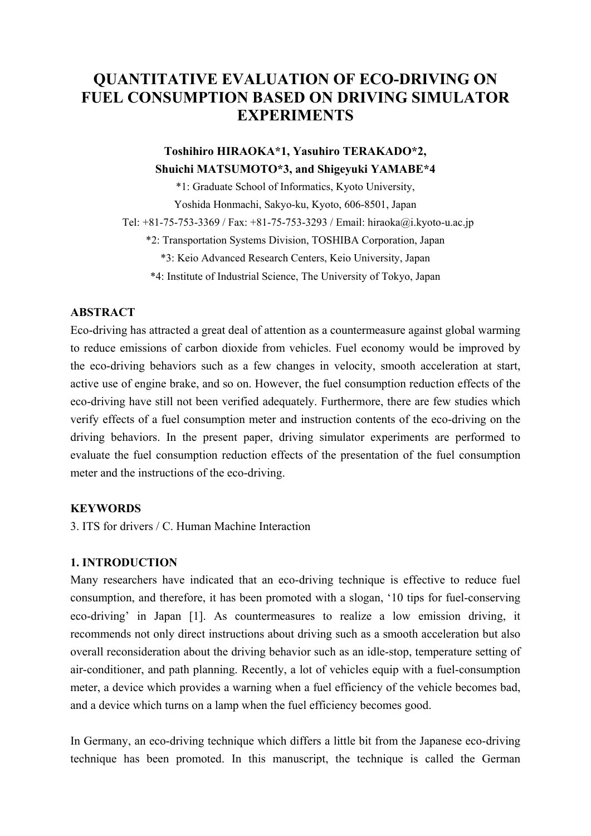# **QUANTITATIVE EVALUATION OF ECO-DRIVING ON FUEL CONSUMPTION BASED ON DRIVING SIMULATOR EXPERIMENTS**

# **Toshihiro HIRAOKA\*1, Yasuhiro TERAKADO\*2, Shuichi MATSUMOTO\*3, and Shigeyuki YAMABE\*4**

\*1: Graduate School of Informatics, Kyoto University,

Yoshida Honmachi, Sakyo-ku, Kyoto, 606-8501, Japan

Tel: +81-75-753-3369 / Fax: +81-75-753-3293 / Email: hiraoka@i.kyoto-u.ac.jp

\*2: Transportation Systems Division, TOSHIBA Corporation, Japan

\*3: Keio Advanced Research Centers, Keio University, Japan

\*4: Institute of Industrial Science, The University of Tokyo, Japan

# **ABSTRACT**

Eco-driving has attracted a great deal of attention as a countermeasure against global warming to reduce emissions of carbon dioxide from vehicles. Fuel economy would be improved by the eco-driving behaviors such as a few changes in velocity, smooth acceleration at start, active use of engine brake, and so on. However, the fuel consumption reduction effects of the eco-driving have still not been verified adequately. Furthermore, there are few studies which verify effects of a fuel consumption meter and instruction contents of the eco-driving on the driving behaviors. In the present paper, driving simulator experiments are performed to evaluate the fuel consumption reduction effects of the presentation of the fuel consumption meter and the instructions of the eco-driving.

# **KEYWORDS**

3. ITS for drivers / C. Human Machine Interaction

# **1. INTRODUCTION**

Many researchers have indicated that an eco-driving technique is effective to reduce fuel consumption, and therefore, it has been promoted with a slogan, '10 tips for fuel-conserving eco-driving' in Japan [1]. As countermeasures to realize a low emission driving, it recommends not only direct instructions about driving such as a smooth acceleration but also overall reconsideration about the driving behavior such as an idle-stop, temperature setting of air-conditioner, and path planning. Recently, a lot of vehicles equip with a fuel-consumption meter, a device which provides a warning when a fuel efficiency of the vehicle becomes bad, and a device which turns on a lamp when the fuel efficiency becomes good.

In Germany, an eco-driving technique which differs a little bit from the Japanese eco-driving technique has been promoted. In this manuscript, the technique is called the German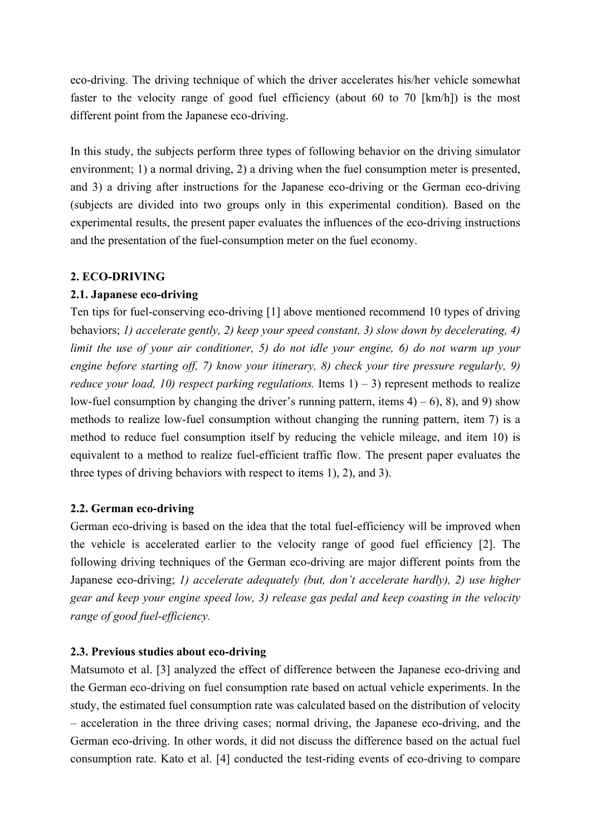eco-driving. The driving technique of which the driver accelerates his/her vehicle somewhat faster to the velocity range of good fuel efficiency (about 60 to 70 [km/h]) is the most different point from the Japanese eco-driving.

In this study, the subjects perform three types of following behavior on the driving simulator environment; 1) a normal driving, 2) a driving when the fuel consumption meter is presented. and 3) a driving after instructions for the Japanese eco-driving or the German eco-driving (subjects are divided into two groups only in this experimental condition). Based on the experimental results, the present paper evaluates the influences of the eco-driving instructions and the presentation of the fuel-consumption meter on the fuel economy.

## **2. ECO-DRIVING**

## **2.1. Japanese eco-driving**

Ten tips for fuel-conserving eco-driving [1] above mentioned recommend 10 types of driving behaviors; *1) accelerate gently, 2) keep your speed constant, 3) slow down by decelerating, 4) limit the use of your air conditioner, 5) do not idle your engine, 6) do not warm up your engine before starting off, 7) know your itinerary, 8) check your tire pressure regularly, 9) reduce your load, 10) respect parking regulations.* Items  $1) - 3$  represent methods to realize low-fuel consumption by changing the driver's running pattern, items  $4$ ) – 6), 8), and 9) show methods to realize low-fuel consumption without changing the running pattern, item 7) is a method to reduce fuel consumption itself by reducing the vehicle mileage, and item 10) is equivalent to a method to realize fuel-efficient traffic flow. The present paper evaluates the three types of driving behaviors with respect to items 1), 2), and 3).

# **2.2. German eco-driving**

German eco-driving is based on the idea that the total fuel-efficiency will be improved when the vehicle is accelerated earlier to the velocity range of good fuel efficiency [2]. The following driving techniques of the German eco-driving are major different points from the Japanese eco-driving; *1) accelerate adequately (but, don't accelerate hardly), 2) use higher gear and keep your engine speed low, 3) release gas pedal and keep coasting in the velocity range of good fuel-efficiency.*

# **2.3. Previous studies about eco-driving**

Matsumoto et al. [3] analyzed the effect of difference between the Japanese eco-driving and the German eco-driving on fuel consumption rate based on actual vehicle experiments. In the study, the estimated fuel consumption rate was calculated based on the distribution of velocity – acceleration in the three driving cases; normal driving, the Japanese eco-driving, and the German eco-driving. In other words, it did not discuss the difference based on the actual fuel consumption rate. Kato et al. [4] conducted the test-riding events of eco-driving to compare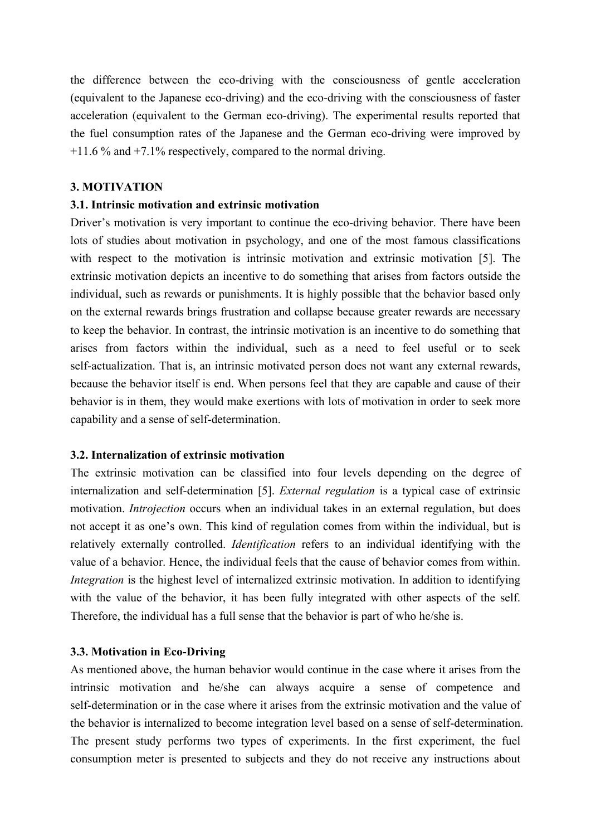the difference between the eco-driving with the consciousness of gentle acceleration (equivalent to the Japanese eco-driving) and the eco-driving with the consciousness of faster acceleration (equivalent to the German eco-driving). The experimental results reported that the fuel consumption rates of the Japanese and the German eco-driving were improved by +11.6 % and +7.1% respectively, compared to the normal driving.

#### **3. MOTIVATION**

## **3.1. Intrinsic motivation and extrinsic motivation**

Driver's motivation is very important to continue the eco-driving behavior. There have been lots of studies about motivation in psychology, and one of the most famous classifications with respect to the motivation is intrinsic motivation and extrinsic motivation [5]. The extrinsic motivation depicts an incentive to do something that arises from factors outside the individual, such as rewards or punishments. It is highly possible that the behavior based only on the external rewards brings frustration and collapse because greater rewards are necessary to keep the behavior. In contrast, the intrinsic motivation is an incentive to do something that arises from factors within the individual, such as a need to feel useful or to seek self-actualization. That is, an intrinsic motivated person does not want any external rewards, because the behavior itself is end. When persons feel that they are capable and cause of their behavior is in them, they would make exertions with lots of motivation in order to seek more capability and a sense of self-determination.

## **3.2. Internalization of extrinsic motivation**

The extrinsic motivation can be classified into four levels depending on the degree of internalization and self-determination [5]. *External regulation* is a typical case of extrinsic motivation. *Introjection* occurs when an individual takes in an external regulation, but does not accept it as one's own. This kind of regulation comes from within the individual, but is relatively externally controlled. *Identification* refers to an individual identifying with the value of a behavior. Hence, the individual feels that the cause of behavior comes from within. *Integration* is the highest level of internalized extrinsic motivation. In addition to identifying with the value of the behavior, it has been fully integrated with other aspects of the self. Therefore, the individual has a full sense that the behavior is part of who he/she is.

#### **3.3. Motivation in Eco-Driving**

As mentioned above, the human behavior would continue in the case where it arises from the intrinsic motivation and he/she can always acquire a sense of competence and self-determination or in the case where it arises from the extrinsic motivation and the value of the behavior is internalized to become integration level based on a sense of self-determination. The present study performs two types of experiments. In the first experiment, the fuel consumption meter is presented to subjects and they do not receive any instructions about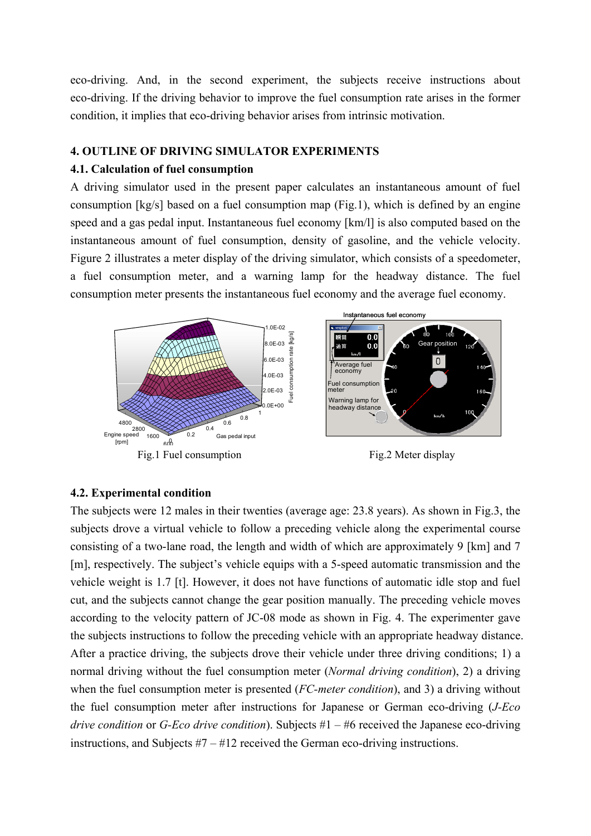eco-driving. And, in the second experiment, the subjects receive instructions about eco-driving. If the driving behavior to improve the fuel consumption rate arises in the former condition, it implies that eco-driving behavior arises from intrinsic motivation.

## **4. OUTLINE OF DRIVING SIMULATOR EXPERIMENTS**

## **4.1. Calculation of fuel consumption**

A driving simulator used in the present paper calculates an instantaneous amount of fuel consumption [kg/s] based on a fuel consumption map (Fig.1), which is defined by an engine speed and a gas pedal input. Instantaneous fuel economy [km/l] is also computed based on the instantaneous amount of fuel consumption, density of gasoline, and the vehicle velocity. Figure 2 illustrates a meter display of the driving simulator, which consists of a speedometer, a fuel consumption meter, and a warning lamp for the headway distance. The fuel consumption meter presents the instantaneous fuel economy and the average fuel economy.



#### **4.2. Experimental condition**

The subjects were 12 males in their twenties (average age: 23.8 years). As shown in Fig.3, the subjects drove a virtual vehicle to follow a preceding vehicle along the experimental course consisting of a two-lane road, the length and width of which are approximately 9 [km] and 7 [m], respectively. The subject's vehicle equips with a 5-speed automatic transmission and the vehicle weight is 1.7 [t]. However, it does not have functions of automatic idle stop and fuel cut, and the subjects cannot change the gear position manually. The preceding vehicle moves according to the velocity pattern of JC-08 mode as shown in Fig. 4. The experimenter gave the subjects instructions to follow the preceding vehicle with an appropriate headway distance. After a practice driving, the subjects drove their vehicle under three driving conditions; 1) a normal driving without the fuel consumption meter (*Normal driving condition*), 2) a driving when the fuel consumption meter is presented (*FC-meter condition*), and 3) a driving without the fuel consumption meter after instructions for Japanese or German eco-driving (*J-Eco drive condition* or *G-Eco drive condition*). Subjects #1 – #6 received the Japanese eco-driving instructions, and Subjects #7 – #12 received the German eco-driving instructions.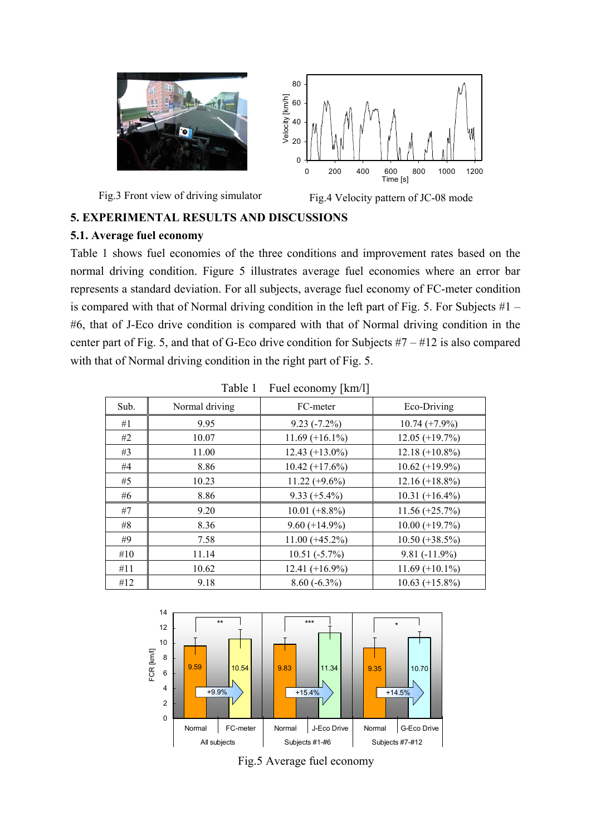



## **5.1. Average fuel economy**

Table 1 shows fuel economies of the three conditions and improvement rates based on the normal driving condition. Figure 5 illustrates average fuel economies where an error bar represents a standard deviation. For all subjects, average fuel economy of FC-meter condition is compared with that of Normal driving condition in the left part of Fig. 5. For Subjects  $#1 -$ #6, that of J-Eco drive condition is compared with that of Normal driving condition in the center part of Fig. 5, and that of G-Eco drive condition for Subjects  $#7 - #12$  is also compared with that of Normal driving condition in the right part of Fig. 5.

| $\frac{1}{2}$ act comonly $\frac{1}{2}$ |                |                   |                   |  |
|-----------------------------------------|----------------|-------------------|-------------------|--|
| Sub.                                    | Normal driving | FC-meter          | Eco-Driving       |  |
| #1                                      | 9.95           | $9.23(-7.2\%)$    | $10.74 (+7.9\%)$  |  |
| #2                                      | 10.07          | $11.69 (+16.1%)$  | $12.05 (+19.7%)$  |  |
| #3                                      | 11.00          | $12.43 (+13.0\%)$ | $12.18 (+10.8\%)$ |  |
| #4                                      | 8.86           | $10.42 (+17.6%)$  | $10.62 (+19.9\%)$ |  |
| #5                                      | 10.23          | $11.22 (+9.6\%)$  | $12.16 (+18.8\%)$ |  |
| #6                                      | 8.86           | $9.33 (+5.4\%)$   | $10.31 (+16.4\%)$ |  |
| #7                                      | 9.20           | $10.01 (+8.8\%)$  | $11.56 (+25.7%)$  |  |
| #8                                      | 8.36           | $9.60 (+14.9\%)$  | $10.00 (+19.7%)$  |  |
| #9                                      | 7.58           | $11.00 (+45.2\%)$ | $10.50 (+38.5\%)$ |  |
| #10                                     | 11.14          | $10.51(-5.7%)$    | $9.81(-11.9\%)$   |  |
| #11                                     | 10.62          | $12.41 (+16.9\%)$ | $11.69 (+10.1\%)$ |  |
| #12                                     | 9.18           | $8.60(-6.3\%)$    | $10.63 (+15.8\%)$ |  |

Table 1 Fuel economy [km/l]



Fig.5 Average fuel economy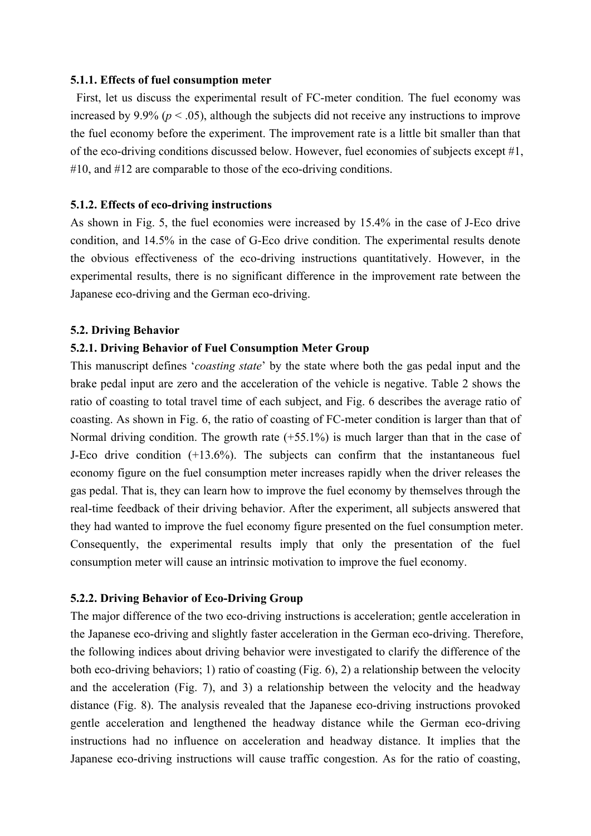#### **5.1.1. Effects of fuel consumption meter**

 First, let us discuss the experimental result of FC-meter condition. The fuel economy was increased by 9.9% ( $p < .05$ ), although the subjects did not receive any instructions to improve the fuel economy before the experiment. The improvement rate is a little bit smaller than that of the eco-driving conditions discussed below. However, fuel economies of subjects except #1, #10, and #12 are comparable to those of the eco-driving conditions.

#### **5.1.2. Effects of eco-driving instructions**

As shown in Fig. 5, the fuel economies were increased by 15.4% in the case of J-Eco drive condition, and 14.5% in the case of G-Eco drive condition. The experimental results denote the obvious effectiveness of the eco-driving instructions quantitatively. However, in the experimental results, there is no significant difference in the improvement rate between the Japanese eco-driving and the German eco-driving.

#### **5.2. Driving Behavior**

### **5.2.1. Driving Behavior of Fuel Consumption Meter Group**

This manuscript defines '*coasting state*' by the state where both the gas pedal input and the brake pedal input are zero and the acceleration of the vehicle is negative. Table 2 shows the ratio of coasting to total travel time of each subject, and Fig. 6 describes the average ratio of coasting. As shown in Fig. 6, the ratio of coasting of FC-meter condition is larger than that of Normal driving condition. The growth rate  $(+55.1\%)$  is much larger than that in the case of J-Eco drive condition (+13.6%). The subjects can confirm that the instantaneous fuel economy figure on the fuel consumption meter increases rapidly when the driver releases the gas pedal. That is, they can learn how to improve the fuel economy by themselves through the real-time feedback of their driving behavior. After the experiment, all subjects answered that they had wanted to improve the fuel economy figure presented on the fuel consumption meter. Consequently, the experimental results imply that only the presentation of the fuel consumption meter will cause an intrinsic motivation to improve the fuel economy.

## **5.2.2. Driving Behavior of Eco-Driving Group**

The major difference of the two eco-driving instructions is acceleration; gentle acceleration in the Japanese eco-driving and slightly faster acceleration in the German eco-driving. Therefore, the following indices about driving behavior were investigated to clarify the difference of the both eco-driving behaviors; 1) ratio of coasting (Fig. 6), 2) a relationship between the velocity and the acceleration (Fig. 7), and 3) a relationship between the velocity and the headway distance (Fig. 8). The analysis revealed that the Japanese eco-driving instructions provoked gentle acceleration and lengthened the headway distance while the German eco-driving instructions had no influence on acceleration and headway distance. It implies that the Japanese eco-driving instructions will cause traffic congestion. As for the ratio of coasting,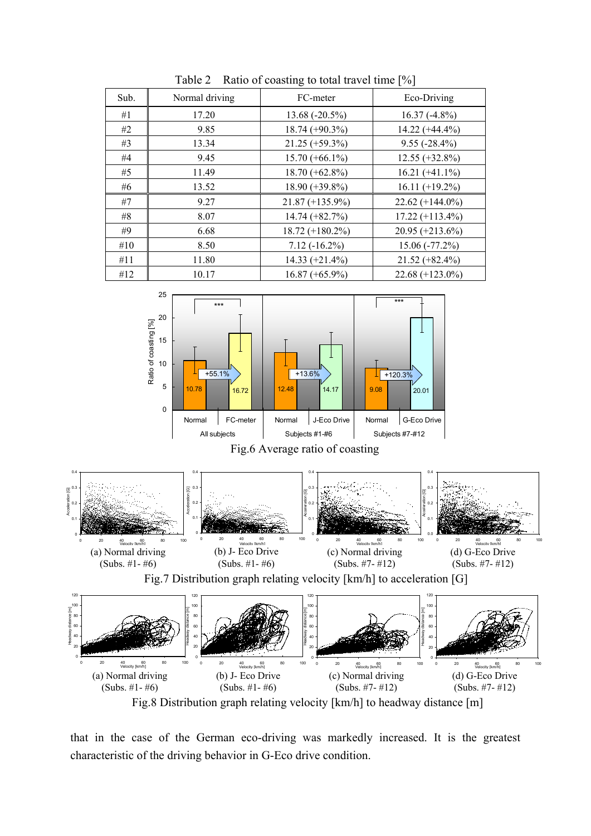| Sub. | Normal driving | FC-meter           | Eco-Driving        |
|------|----------------|--------------------|--------------------|
| #1   | 17.20          | $13.68(-20.5%)$    | $16.37(-4.8\%)$    |
| #2   | 9.85           | $18.74 (+90.3%)$   | $14.22 (+44.4\%)$  |
| #3   | 13.34          | $21.25 (+59.3\%)$  | $9.55(-28.4\%)$    |
| #4   | 9.45           | $15.70 (+66.1\%)$  | $12.55 (+32.8\%)$  |
| #5   | 11.49          | $18.70 (+62.8\%)$  | $16.21 (+41.1\%)$  |
| #6   | 13.52          | $18.90 (+39.8\%)$  | $16.11 (+19.2\%)$  |
| #7   | 9.27           | $21.87 (+135.9\%)$ | $22.62 (+144.0\%)$ |
| #8   | 8.07           | $14.74 (+82.7%)$   | $17.22 (+113.4\%)$ |
| #9   | 6.68           | $18.72 (+180.2\%)$ | $20.95 (+213.6%)$  |
| #10  | 8.50           | $7.12(-16.2\%)$    | $15.06(-77.2\%)$   |
| #11  | 11.80          | $14.33 (+21.4%)$   | $21.52 (+82.4\%)$  |
| #12  | 10.17          | $16.87 (+65.9\%)$  | $22.68 (+123.0\%)$ |

Table 2 Ratio of coasting to total travel time [%]



Fig.8 Distribution graph relating velocity [km/h] to headway distance [m]

that in the case of the German eco-driving was markedly increased. It is the greatest characteristic of the driving behavior in G-Eco drive condition.